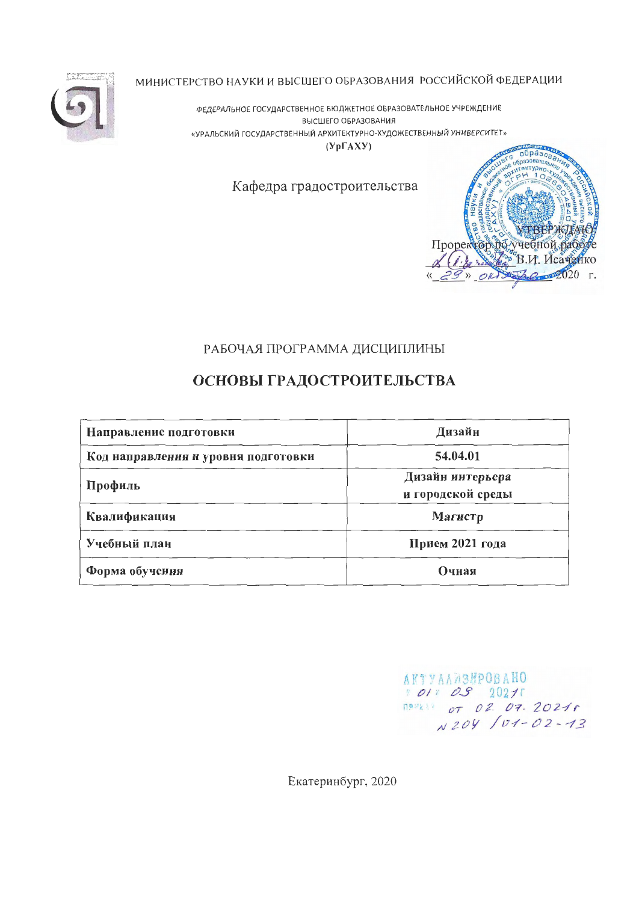МИНИСТЕРСТВО НАУКИ И ВЫСШЕГО ОБРАЗОВАНИЯ РОССИЙСКОЙ ФЕДЕРАЦИИ

ФЕДЕРАЛЬНОЕ ГОСУДАРСТВЕННОЕ БЮДЖЕТНОЕ ОБРАЗОВАТЕЛЬНОЕ УЧРЕЖДЕНИЕ ВЫСШЕГО ОБРАЗОВАНИЯ «УРАЛЬСКИЙ ГОСУДАРСТВЕННЫЙ АРХИТЕКТУРНО-ХУДОЖЕСТВЕННЫЙ УНИВЕРСИТЕТ»  $(Yp\Gamma A X Y)$ 

Кафедра градостроительства



## РАБОЧАЯ ПРОГРАММА ДИСЦИПЛИНЫ

# ОСНОВЫ ГРАДОСТРОИТЕЛЬСТВА

| Направление подготовки              | Дизайн                                |
|-------------------------------------|---------------------------------------|
| Код направления и уровня подготовки | 54.04.01                              |
| Профиль                             | Дизайн интерьера<br>и городской среды |
| Квалификация                        | Магистр                               |
| Учебный план                        | Прием 2021 года                       |
| Форма обучения                      | Очная                                 |

 $\begin{array}{cc}\n\texttt{AKTYAAABHPOBAHO} \\
\texttt{X.}\n\end{array}$ 

Екатеринбург, 2020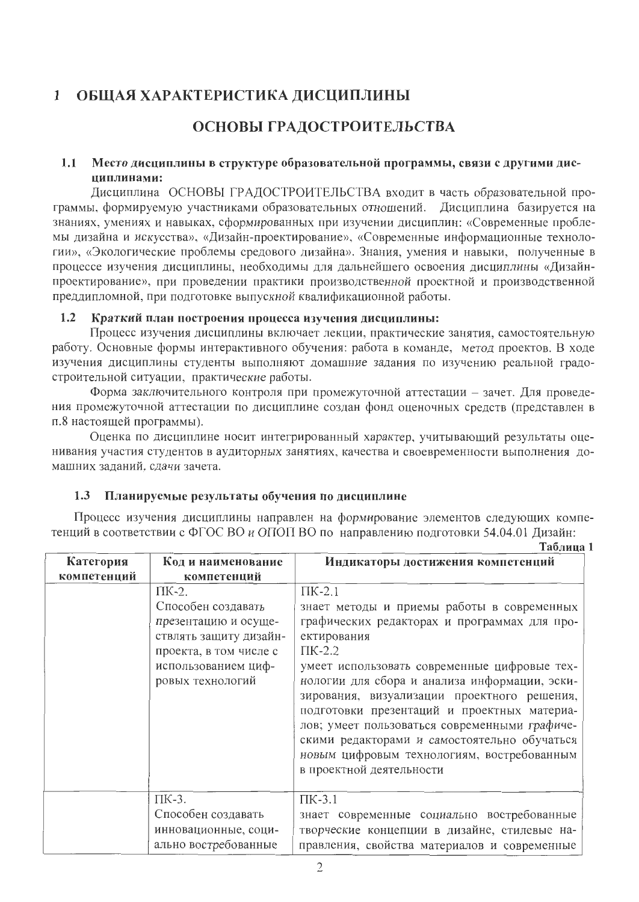#### $\mathbf{1}$ ОБЩАЯ ХАРАКТЕРИСТИКА ДИСЦИПЛИНЫ

# ОСНОВЫ ГРАДОСТРОИТЕЛЬСТВА

#### $1.1$ Место дисциплины в структуре образовательной программы, связи с другими дисциплинами:

Дисциплина ОСНОВЫ ГРАДОСТРОИТЕЛЬСТВА входит в часть образовательной программы, формируемую участниками образовательных отношений. Дисциплина базируется на знаниях, умениях и навыках, сформированных при изучении дисциплин: «Современные проблемы дизайна и искусства», «Дизайн-проектирование», «Современные информационные технологии», «Экологические проблемы средового дизайна». Знания, умения и навыки, полученные в процессе изучения дисциплины, необходимы для дальнейшего освоения дисциплины «Дизайнпроектирование», при проведении практики производственной проектной и производственной преддипломной, при подготовке выпускной квалификационной работы.

#### Краткий план построения процесса изучения дисциплины:  $1.2$

Процесс изучения дисциплины включает лекции, практические занятия, самостоятельную работу. Основные формы интерактивного обучения: работа в команде, метод проектов. В ходе изучения дисциплины студенты выполняют домашние задания по изучению реальной градостроительной ситуации, практические работы.

Форма заключительного контроля при промежуточной аттестации - зачет. Для проведения промежуточной аттестации по дисциплине создан фонд оценочных средств (представлен в п.8 настоящей программы).

Оценка по дисциплине носит интегрированный характер, учитывающий результаты оценивания участия студентов в аудиторных занятиях, качества и своевременности выполнения домашних заданий, сдачи зачета.

#### Планируемые результаты обучения по дисциплине  $1.3$

Процесс изучения дисциплины направлен на формирование элементов следующих компетенций в соответствии с ФГОС ВО и ОПОП ВО по направлению подготовки 54.04.01 Дизайн:

Таблица 1 Категория Код и наименование Индикаторы достижения компетенций компетенций компетенций  $\Pi K-2$  $\Pi K-2.1$ Способен создавать знает методы и приемы работы в современных презентацию и осущеграфических редакторах и программах для проствлять защиту дизайнектирования проекта, в том числе с  $\Pi K-2.2$ использованием цифумеет использовать современные цифровые техровых технологий нологии для сбора и анализа информации, эскизирования, визуализации проектного решения, подготовки презентаций и проектных материалов; умеет пользоваться современными графическими редакторами и самостоятельно обучаться новым цифровым технологиям, востребованным в проектной деятельности  $\overline{\text{HK-3}}$ .  $\Pi K-3.1$ Способен создавать знает современные социально востребованные инновационные, социтворческие концепции в дизайне, стилевые направления, свойства материалов и современные ально востребованные

 $\overline{2}$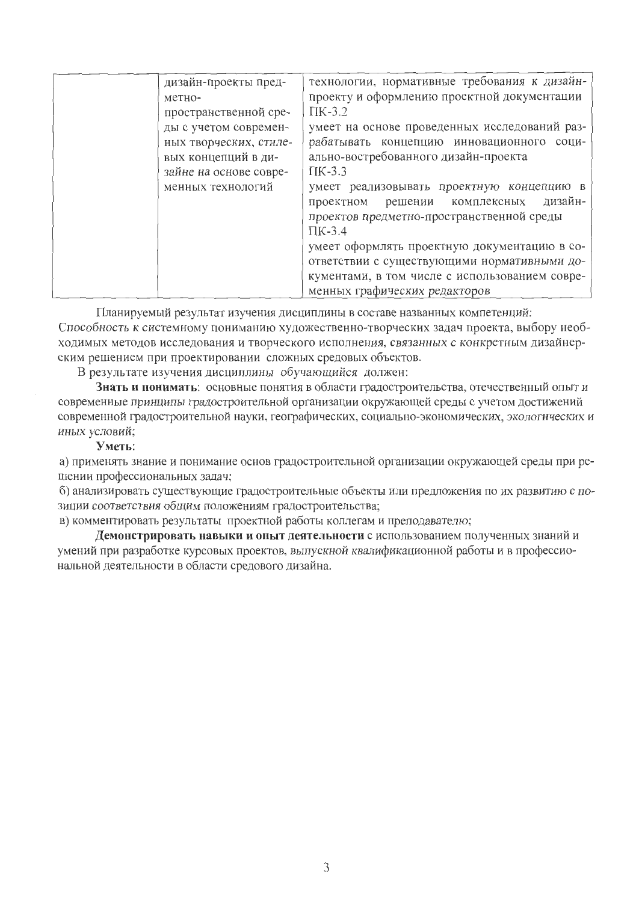| дизайн-проекты пред-<br>метно-<br>пространственной сре-<br>ды с учетом современ-<br>ных творческих, стиле-<br>вых концепций в ди-<br>зайне на основе совре-<br>менных технологий | технологии, нормативные требования к дизайн-<br>проекту и оформлению проектной документации<br>$\Pi$ K-3.2<br>умеет на основе проведенных исследований раз-<br>рабатывать концепцию инновационного соци-<br>ально-востребованного дизайн-проекта<br>$\Pi K-3.3$<br>умеет реализовывать проектную концепцию в<br>дизайн-<br>решении комплексных<br>проектном<br>проектов предметно-пространственной среды |
|----------------------------------------------------------------------------------------------------------------------------------------------------------------------------------|----------------------------------------------------------------------------------------------------------------------------------------------------------------------------------------------------------------------------------------------------------------------------------------------------------------------------------------------------------------------------------------------------------|
|                                                                                                                                                                                  | $\Pi K-3.4$                                                                                                                                                                                                                                                                                                                                                                                              |
|                                                                                                                                                                                  | умеет оформлять проектную документацию в со-                                                                                                                                                                                                                                                                                                                                                             |
|                                                                                                                                                                                  | ответствии с существующими нормативными до-                                                                                                                                                                                                                                                                                                                                                              |
|                                                                                                                                                                                  | кументами, в том числе с использованием совре-<br>менных графических редакторов                                                                                                                                                                                                                                                                                                                          |

Планируемый результат изучения дисциплины в составе названных компетенций: Способность к системному пониманию художественно-творческих задач проекта, выбору необходимых методов исследования и творческого исполнения, связанных с конкретным дизайнер-

ским решением при проектировании сложных средовых объектов.

В результате изучения дисциплины обучающийся должен:

Знать и понимать: основные понятия в области градостроительства, отечественный опыт и современные принципы градостроительной организации окружающей среды с учетом достижений современной градостроительной науки, географических, социально-экономических, экологических и иных условий;

#### Уметь:

а) применять знание и понимание основ градостроительной организации окружающей среды при решении профессиональных задач;

б) анализировать существующие градостроительные объекты или предложения по их развитию с позиции соответствия общим положениям градостроительства;

в) комментировать результаты проектной работы коллегам и преподавателю;

Демонстрировать навыки и опыт деятельности с использованием полученных знаний и умений при разработке курсовых проектов, выпускной квалификационной работы и в профессиональной деятельности в области средового дизайна.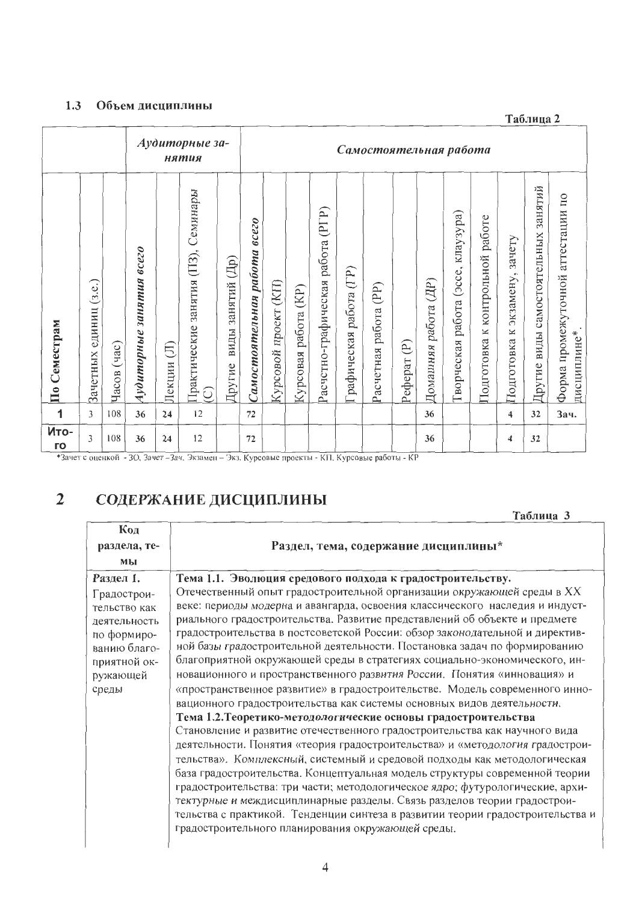#### 1.3 Объем дисциплины

Таблица 2

|              |                              |                |                                     |              | Аудиторные за-<br>нятия                              |                                   |                                           |                          |                            |                                         |                              | Самостоятельная работа      |                                   |                             |                                             |                                                  |                                                         |                                              |                                                     |
|--------------|------------------------------|----------------|-------------------------------------|--------------|------------------------------------------------------|-----------------------------------|-------------------------------------------|--------------------------|----------------------------|-----------------------------------------|------------------------------|-----------------------------|-----------------------------------|-----------------------------|---------------------------------------------|--------------------------------------------------|---------------------------------------------------------|----------------------------------------------|-----------------------------------------------------|
| По Семестрам | (3.e.)<br>единиц<br>Зачетных | (4ac)<br>Часов | $\it{occ}$<br>занятия<br>Аудиторные | (T<br>Лекции | Семинары<br>(113),<br>занятия<br>Грактические<br>ପ୍ର | (4p)<br>занятий<br>виды<br>Другие | <b>8CC20</b><br>paóoma<br>Самостоятельная | (KIT)<br>Курсовой проект | (KP)<br>работа<br>Курсовая | (PTP)<br>работа<br>Расчетно-графическая | (TP)<br>работа<br>рафическая | (PP)<br>работа<br>Расчетная | $\widehat{\mathbb{P}}$<br>Реферат | (IIP)<br>работа<br>Домашняя | клаузура)<br>(acce,<br>работа<br>Гворческая | работе<br>контрольной<br>$\ltimes$<br>Подготовка | зачету<br>$\mathbbmss{}$<br>экзамену<br>×<br>Подготовка | занятий<br>самостоятельных<br>виды<br>Другие | аттестации по<br>Форма промежуточной<br>дисциплине* |
| 1            | 3                            | 108            | 36                                  | 24           | 12                                                   |                                   | 72                                        |                          |                            |                                         |                              |                             |                                   | 36                          |                                             |                                                  | $\overline{\mathbf{4}}$                                 | 32                                           | Зач.                                                |
| Ито-<br>го   | 3                            | 108            | 36                                  | 24           | 12                                                   |                                   | 72                                        |                          |                            |                                         |                              |                             |                                   | 36                          |                                             |                                                  | 4                                                       | 32                                           |                                                     |

\*Зачет с оценкой - 30, Зачет - Зач. Экзамен - Экз, Курсовые проекты - КП, Курсовые работы - КР

#### $\overline{2}$ СОДЕРЖАНИЕ ДИСЦИПЛИНЫ

Таблица 3

| Код                                                                                                                          |                                                                                                                                                                                                                                                                                                                                                                                                                                                                                                                                                                                                                                                                                                                                                                                  |
|------------------------------------------------------------------------------------------------------------------------------|----------------------------------------------------------------------------------------------------------------------------------------------------------------------------------------------------------------------------------------------------------------------------------------------------------------------------------------------------------------------------------------------------------------------------------------------------------------------------------------------------------------------------------------------------------------------------------------------------------------------------------------------------------------------------------------------------------------------------------------------------------------------------------|
| раздела, те-                                                                                                                 | Раздел, тема, содержание дисциплины*                                                                                                                                                                                                                                                                                                                                                                                                                                                                                                                                                                                                                                                                                                                                             |
| мы                                                                                                                           |                                                                                                                                                                                                                                                                                                                                                                                                                                                                                                                                                                                                                                                                                                                                                                                  |
| Раздел 1.<br>Градострои-<br>тельство как<br>деятельность<br>по формиро-<br>ванию благо-<br>приятной ок-<br>ружающей<br>среды | Тема 1.1. Эволюция средового подхода к градостроительству.<br>Отечественный опыт градостроительной организации окружающей среды в XX<br>веке: периоды модерна и авангарда, освоения классического наследия и индуст-<br>риального градостроительства. Развитие представлений об объекте и предмете<br>градостроительства в постсоветской России: обзор законодательной и директив-<br>ной базы градостроительной деятельности. Постановка задач по формированию<br>благоприятной окружающей среды в стратегиях социально-экономического, ин-<br>новационного и пространственного развития России. Понятия «инновация» и<br>«пространственное развитие» в градостроительстве. Модель современного инно-<br>вационного градостроительства как системы основных видов деятельности. |
|                                                                                                                              | Тема 1.2. Теоретико-методологические основы градостроительства<br>Становление и развитие отечественного градостроительства как научного вида<br>деятельности. Понятия «теория градостроительства» и «методология градострои-<br>тельства». Комплексный, системный и средовой подходы как методологическая<br>база градостроительства. Концептуальная модель структуры современной теории<br>градостроительства: три части; методологическое ядро; футурологические, архи-<br>тектурные и междисциплинарные разделы. Связь разделов теории градострои-<br>тельства с практикой. Тенденции синтеза в развитии теории градостроительства и<br>градостроительного планирования окружающей среды.                                                                                     |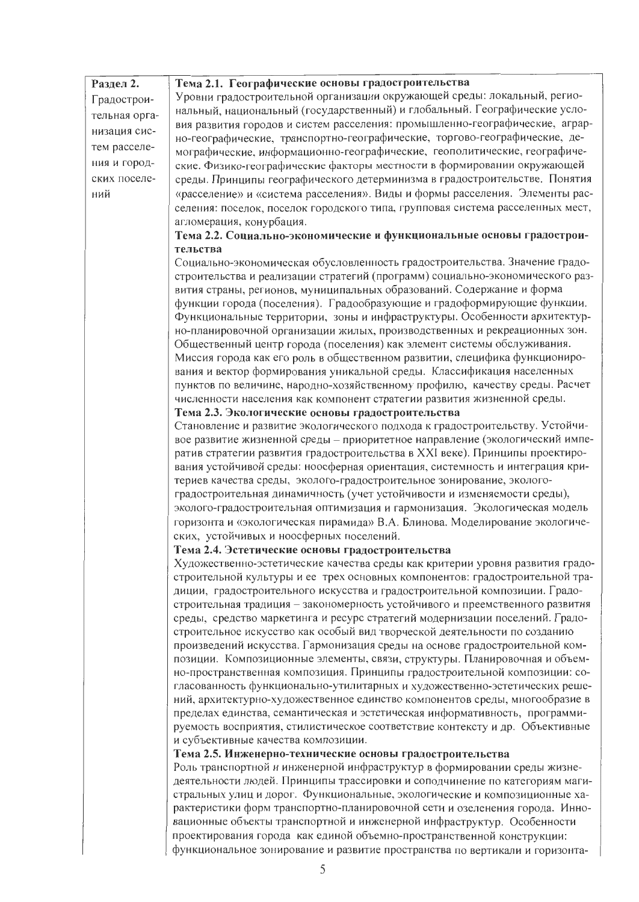| Раздел 2.     | Тема 2.1. Географические основы градостроительства                                                                                                           |
|---------------|--------------------------------------------------------------------------------------------------------------------------------------------------------------|
| Градострои-   | Уровни градостроительной организации окружающей среды: локальный, регио-                                                                                     |
| тельная орга- | нальный, национальный (государственный) и глобальный. Географические усло-                                                                                   |
| низация сис-  | вия развития городов и систем расселения: промышленно-географические, аграр-                                                                                 |
| тем расселе-  | но-географические, транспортно-географические, торгово-географические, де-                                                                                   |
|               | мографические, информационно-географические, геополитические, географиче-                                                                                    |
| ния и город-  | ские. Физико-географические факторы местности в формировании окружающей                                                                                      |
| ских поселе-  | среды. Принципы географического детерминизма в градостроительстве. Понятия                                                                                   |
| ний           | «расселение» и «система расселения». Виды и формы расселения. Элементы рас-                                                                                  |
|               | селения: поселок, поселок городского типа, групповая система расселенных мест,<br>агломерация, конурбация.                                                   |
|               | Тема 2.2. Социально-экономические и функциональные основы градострои-                                                                                        |
|               | тельства                                                                                                                                                     |
|               | Социально-экономическая обусловленность градостроительства. Значение градо-                                                                                  |
|               | строительства и реализации стратегий (программ) социально-экономического раз-                                                                                |
|               | вития страны, регионов, муниципальных образований. Содержание и форма                                                                                        |
|               | функции города (поселения). Градообразующие и градоформирующие функции.                                                                                      |
|               | Функциональные территории, зоны и инфраструктуры. Особенности архитектур-                                                                                    |
|               | но-планировочной организации жилых, производственных и рекреационных зон.                                                                                    |
|               | Общественный центр города (поселения) как элемент системы обслуживания.                                                                                      |
|               | Миссия города как его роль в общественном развитии, специфика функциониро-                                                                                   |
|               | вания и вектор формирования уникальной среды. Классификация населенных                                                                                       |
|               | пунктов по величине, народно-хозяйственному профилю, качеству среды. Расчет                                                                                  |
|               | численности населения как компонент стратегии развития жизненной среды.                                                                                      |
|               | Тема 2.3. Экологические основы градостроительства                                                                                                            |
|               | Становление и развитие экологического подхода к градостроительству. Устойчи-<br>вое развитие жизненной среды - приоритетное направление (экологический импе- |
|               | ратив стратегии развития градостроительства в XXI веке). Принципы проектиро-                                                                                 |
|               | вания устойчивой среды: ноосферная ориентация, системность и интеграция кри-                                                                                 |
|               | териев качества среды, эколого-градостроительное зонирование, эколого-                                                                                       |
|               | градостроительная динамичность (учет устойчивости и изменяемости среды),                                                                                     |
|               | эколого-градостроительная оптимизация и гармонизация. Экологическая модель                                                                                   |
|               | горизонта и «экологическая пирамида» В.А. Блинова. Моделирование экологиче-                                                                                  |
|               | ских, устойчивых и ноосферных поселений.                                                                                                                     |
|               | Тема 2.4. Эстетические основы градостроительства                                                                                                             |
|               | Художественно-эстетические качества среды как критерии уровня развития градо-                                                                                |
|               | строительной культуры и ее трех основных компонентов: градостроительной тра-                                                                                 |
|               | диции, градостроительного искусства и градостроительной композиции. Градо-                                                                                   |
|               | строительная традиция - закономерность устойчивого и преемственного развития                                                                                 |
|               | среды, средство маркетинга и ресурс стратегий модернизации поселений. Градо-                                                                                 |
|               | строительное искусство как особый вид творческой деятельности по созданию                                                                                    |
|               | произведений искусства. Гармонизация среды на основе градостроительной ком-                                                                                  |
|               | позиции. Композиционные элементы, связи, структуры. Планировочная и объем-                                                                                   |
|               | но-пространственная композиция. Принципы градостроительной композиции: со-<br>гласованность функционально-утилитарных и художественно-эстетических реше-     |
|               | ний, архитектурно-художественное единство компонентов среды, многообразие в                                                                                  |
|               | пределах единства, семантическая и эстетическая информативность, программи-                                                                                  |
|               | руемость восприятия, стилистическое соответствие контексту и др. Объективные                                                                                 |
|               | и субъективные качества композиции.                                                                                                                          |
|               | Тема 2.5. Инженерно-технические основы градостроительства                                                                                                    |
|               | Роль транспортной и инженерной инфраструктур в формировании среды жизне-                                                                                     |
|               | деятельности людей. Принципы трассировки и соподчинение по категориям маги-                                                                                  |
|               | стральных улиц и дорог. Функциональные, экологические и композиционные ха-                                                                                   |
|               | рактеристики форм транспортно-планировочной сети и озеленения города. Инно-                                                                                  |
|               | вационные объекты транспортной и инженерной инфраструктур. Особенности                                                                                       |
|               | проектирования города как единой объемно-пространственной конструкции:                                                                                       |
|               | функциональное зонирование и развитие пространства по вертикали и горизонта-                                                                                 |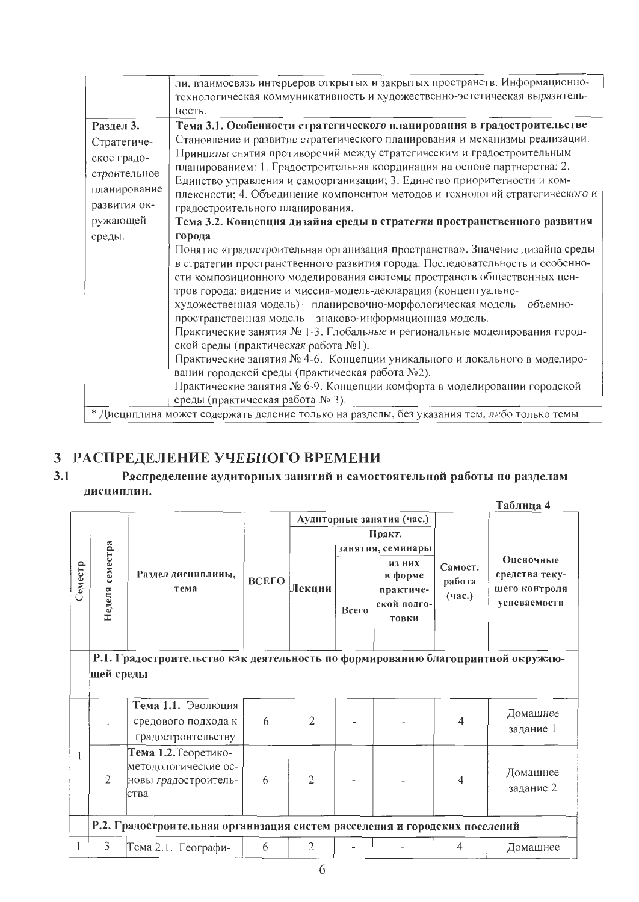|                                                                                        | ли, взаимосвязь интерьеров открытых и закрытых пространств. Информационно-<br>технологическая коммуникативность и художественно-эстетическая выразитель-                                                                                                                                                                                                                                                                                                                                                                                                                                                                                                                                                                                                                                                                            |
|----------------------------------------------------------------------------------------|-------------------------------------------------------------------------------------------------------------------------------------------------------------------------------------------------------------------------------------------------------------------------------------------------------------------------------------------------------------------------------------------------------------------------------------------------------------------------------------------------------------------------------------------------------------------------------------------------------------------------------------------------------------------------------------------------------------------------------------------------------------------------------------------------------------------------------------|
|                                                                                        | ность.                                                                                                                                                                                                                                                                                                                                                                                                                                                                                                                                                                                                                                                                                                                                                                                                                              |
| Раздел 3.                                                                              | Тема 3.1. Особенности стратегического планирования в градостроительстве                                                                                                                                                                                                                                                                                                                                                                                                                                                                                                                                                                                                                                                                                                                                                             |
| Стратегиче-<br>ское градо-<br>строительное<br>планирование<br>развития ок-<br>ружающей | Становление и развитие стратегического планирования и механизмы реализации.<br>Принципы снятия противоречий между стратегическим и градостроительным<br>планированием: 1. Градостроительная координация на основе партнерства; 2.<br>Единство управления и самоорганизации; 3. Единство приоритетности и ком-<br>плексности; 4. Объединение компонентов методов и технологий стратегического и<br>градостроительного планирования.<br>Тема 3.2. Концепция дизайна среды в стратегии пространственного развития                                                                                                                                                                                                                                                                                                                      |
| среды.                                                                                 | города<br>Понятие «градостроительная организация пространства». Значение дизайна среды<br>в стратегии пространственного развития города. Последовательность и особенно-<br>сти композиционного моделирования системы пространств общественных цен-<br>тров города: видение и миссия-модель-декларация (концептуально-<br>художественная модель) - планировочно-морфологическая модель - объемно-<br>пространственная модель - знаково-информационная модель.<br>Практические занятия № 1-3. Глобальные и региональные моделирования город-<br>ской среды (практическая работа №1).<br>Практические занятия № 4-6. Концепции уникального и локального в моделиро-<br>вании городской среды (практическая работа №2).<br>Практические занятия № 6-9. Концепции комфорта в моделировании городской<br>среды (практическая работа № 3). |
|                                                                                        | * Дисциплина может содержать деление только на разделы, без указания тем, либо только темы                                                                                                                                                                                                                                                                                                                                                                                                                                                                                                                                                                                                                                                                                                                                          |

# 3 РАСПРЕДЕЛЕНИЕ УЧЕБНОГО ВРЕМЕНИ

#### $3.1$ Распределение аудиторных занятий и самостоятельной работы по разделам дисциплин.  $To6 = 4$

|         |                                                                                              |                                                                              |       |                |       |                                                        |                             | 1 аолица 4                                                   |  |
|---------|----------------------------------------------------------------------------------------------|------------------------------------------------------------------------------|-------|----------------|-------|--------------------------------------------------------|-----------------------------|--------------------------------------------------------------|--|
|         |                                                                                              |                                                                              |       |                |       | Аудиторные занятия (час.)                              |                             |                                                              |  |
|         |                                                                                              |                                                                              |       |                |       | Практ.                                                 |                             |                                                              |  |
|         |                                                                                              |                                                                              |       |                |       | занятия, семинары                                      |                             |                                                              |  |
| Семестр | Неделя семестра<br>Раздел дисциплины,<br>тема                                                |                                                                              | ВСЕГО | Лекции         | Всего | ИЗ НИХ<br>в форме<br>практиче-<br>ской подго-<br>товки | Самост.<br>работа<br>(4ac.) | Оценочные<br>средства теку-<br>щего контроля<br>успеваемости |  |
|         |                                                                                              |                                                                              |       |                |       |                                                        |                             |                                                              |  |
|         | Р.1. Градостроительство как деятельность по формированию благоприятной окружаю-<br>щей среды |                                                                              |       |                |       |                                                        |                             |                                                              |  |
|         |                                                                                              |                                                                              |       |                |       |                                                        |                             |                                                              |  |
|         |                                                                                              | Тема 1.1. Эволюция<br>средового подхода к<br>градостроительству              | 6     | $\overline{2}$ |       |                                                        | 4                           | Домашнее<br>задание 1                                        |  |
|         | $\overline{2}$                                                                               | Тема 1.2. Теоретико-<br>методологические ос-<br>новы градостроитель-<br>ства | 6     | $\overline{2}$ |       |                                                        | 4                           | Домашнее<br>задание 2                                        |  |
|         | Р.2. Градостроительная организация систем расселения и городских поселений                   |                                                                              |       |                |       |                                                        |                             |                                                              |  |
|         | 3                                                                                            | Тема 2.1. Географи-                                                          | 6     | $\overline{2}$ |       |                                                        | 4                           | Домашнее                                                     |  |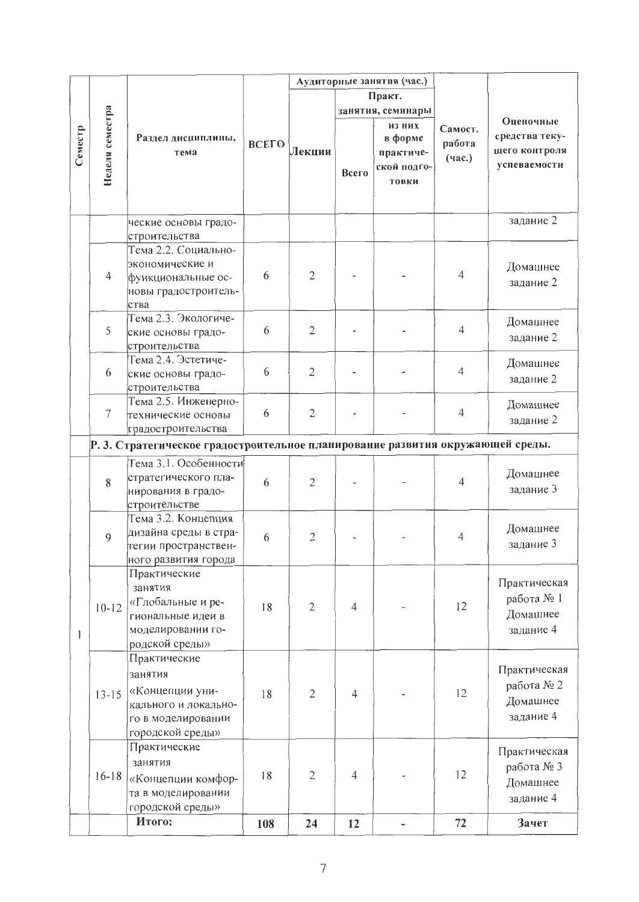|         |                 |                                                                                |       |                | Аудиторные занятия (час.) |                   |                |                |  |
|---------|-----------------|--------------------------------------------------------------------------------|-------|----------------|---------------------------|-------------------|----------------|----------------|--|
|         |                 |                                                                                |       |                |                           | Практ.            |                |                |  |
|         |                 |                                                                                |       |                |                           | занятия, семинары |                |                |  |
|         | Неделя семестра |                                                                                |       |                |                           | из них            | Самост.        | Оценочные      |  |
| Семестр |                 | Раздел дисциплины,                                                             | ВСЕГО |                |                           | в форме           | работа         | средства теку- |  |
|         |                 | тема                                                                           |       | Лекции         |                           | практиче-         | (4ac.)         | щего контроля  |  |
|         |                 |                                                                                |       |                | Bcero                     | ской подго-       |                | успеваемости   |  |
|         |                 |                                                                                |       |                |                           | товки             |                |                |  |
|         |                 |                                                                                |       |                |                           |                   |                |                |  |
|         |                 |                                                                                |       |                |                           |                   |                |                |  |
|         |                 | ческие основы градо-                                                           |       |                |                           |                   |                | задание 2      |  |
|         |                 | строительства                                                                  |       |                |                           |                   |                |                |  |
|         |                 | Тема 2.2. Социально-                                                           |       |                |                           |                   |                |                |  |
|         |                 | экономические и                                                                |       |                |                           |                   | $\overline{4}$ | Домашнее       |  |
|         | $\overline{4}$  | функциональные ос-                                                             | 6     | $\overline{2}$ |                           |                   |                | задание 2      |  |
|         |                 | новы градостроитель-                                                           |       |                |                           |                   |                |                |  |
|         |                 | ства<br>Тема 2.3. Экологиче-                                                   |       |                |                           |                   |                |                |  |
|         | 5               |                                                                                | 6     | $\mathfrak{2}$ |                           |                   | $\overline{4}$ | Домашнее       |  |
|         |                 | ские основы градо-                                                             |       |                |                           |                   |                | задание 2      |  |
|         |                 | строительства<br>Тема 2.4. Эстетиче-                                           |       |                |                           |                   |                |                |  |
|         | 6               | ские основы градо-                                                             | 6     | $\mathbf{2}$   |                           |                   | $\overline{4}$ | Домашнее       |  |
|         |                 | строительства                                                                  |       |                |                           |                   |                | задание 2      |  |
|         |                 | Тема 2.5. Инженерно-                                                           |       |                |                           |                   |                |                |  |
|         | $\overline{7}$  | технические основы                                                             | 6     | $\overline{2}$ |                           |                   | $\overline{4}$ | Домашнее       |  |
|         |                 | градостроительства                                                             |       |                |                           |                   |                | задание 2      |  |
|         |                 | Р. 3. Стратегическое градостроительное планирование развития окружающей среды. |       |                |                           |                   |                |                |  |
|         |                 |                                                                                |       |                |                           |                   |                |                |  |
|         |                 | Тема 3.1. Особенности                                                          |       |                |                           |                   |                | Домашнее       |  |
|         | 8               | стратегического пла-                                                           | 6     | $\overline{2}$ |                           |                   | 4              |                |  |
|         |                 | нирования в градо-                                                             |       |                |                           |                   |                | задание 3      |  |
|         |                 | строительстве                                                                  |       |                |                           |                   |                |                |  |
|         |                 | Тема 3.2. Концепция                                                            |       |                |                           |                   |                | Домашнее       |  |
|         | 9               | дизайна среды в стра-                                                          | 6     | $\overline{2}$ |                           |                   | $\overline{4}$ | задание 3      |  |
|         |                 | тегии пространствен-                                                           |       |                |                           |                   |                |                |  |
|         |                 | ного развития города                                                           |       |                |                           |                   |                |                |  |
|         |                 | Практические                                                                   |       |                |                           |                   |                | Практическая   |  |
|         |                 | занятия                                                                        |       |                |                           |                   |                | работа № 1     |  |
|         | $10 - 12$       | «Глобальные и ре-                                                              | 18    | $\overline{2}$ | $\overline{4}$            |                   | 12             | Домашнее       |  |
|         |                 | гиональные идеи в                                                              |       |                |                           |                   |                |                |  |
| 1       |                 | моделировании го-                                                              |       |                |                           |                   |                | задание 4      |  |
|         |                 | родской среды»                                                                 |       |                |                           |                   |                |                |  |
|         |                 | Практические                                                                   |       |                |                           |                   |                | Практическая   |  |
|         |                 | занятия                                                                        |       |                |                           |                   |                | работа № 2     |  |
|         | $13 - 15$       | «Концепции уни-                                                                | 18    | $\overline{2}$ | 4                         |                   | 12             |                |  |
|         |                 | кального и локально-                                                           |       |                |                           |                   |                | Домашнее       |  |
|         |                 | го в моделировании                                                             |       |                |                           |                   |                | задание 4      |  |
|         |                 | городской среды»                                                               |       |                |                           |                   |                |                |  |
|         |                 | Практические                                                                   |       |                |                           |                   |                | Практическая   |  |
|         |                 | занятия                                                                        |       |                |                           |                   |                | работа № 3     |  |
|         | $16-18$         | «Концепции комфор-                                                             | 18    | $\mathfrak{2}$ | $\overline{4}$            |                   | 12             | Домашнее       |  |
|         |                 | та в моделировании                                                             |       |                |                           |                   |                | задание 4      |  |
|         |                 | городской среды»                                                               |       |                |                           |                   |                |                |  |
|         |                 | Итого:                                                                         | 108   | 24             | 12                        |                   | 72             | Зачет          |  |
|         |                 |                                                                                |       |                |                           |                   |                |                |  |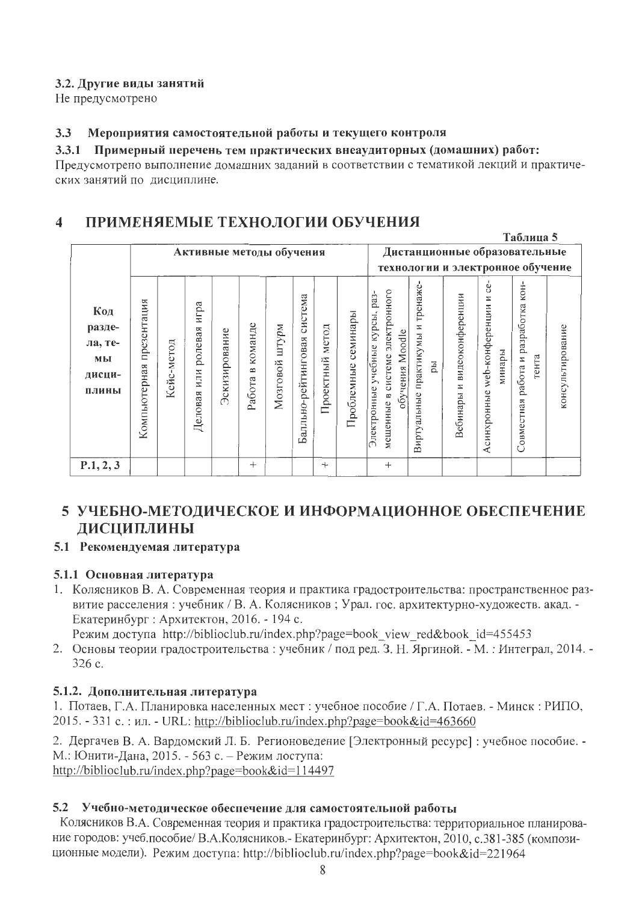### 3.2. Другие виды занятий

Не предусмотрено

#### Мероприятия самостоятельной работы и текущего контроля  $3.3$

#### 3.3.1 Примерный перечень тем практических внеаудиторных (домашних) работ:

Предусмотрено выполнение домашних заданий в соответствии с тематикой лекций и практических занятий по дисциплине.

#### ПРИМЕНЯЕМЫЕ ТЕХНОЛОГИИ ОБУЧЕНИЯ  $\boldsymbol{4}$

|                                                   |                             |            |                                   |               |                        |                    |                                |                    |                        |                                                                                                       |                                               |                                   |                                                    | Таблица 5                                          |                  |
|---------------------------------------------------|-----------------------------|------------|-----------------------------------|---------------|------------------------|--------------------|--------------------------------|--------------------|------------------------|-------------------------------------------------------------------------------------------------------|-----------------------------------------------|-----------------------------------|----------------------------------------------------|----------------------------------------------------|------------------|
|                                                   |                             |            | Активные методы обучения          |               |                        |                    |                                |                    |                        |                                                                                                       |                                               |                                   | Дистанционные образовательные                      |                                                    |                  |
|                                                   |                             |            |                                   |               |                        |                    |                                |                    |                        |                                                                                                       |                                               |                                   | технологии и электронное обучение                  |                                                    |                  |
| Код<br>разде-<br>ла, те-<br>МЫ<br>дисци-<br>плины | презентация<br>Компьютерная | Кейс-метод | игра<br>ролевая<br>ИЛИ<br>Деловая | Эскизирование | команде<br>B<br>Работа | ма⁄стт<br>Мозговой | система<br>Балльно-рейтинговая | метод<br>Проектный | семинары<br>Проблемные | мещенные в системе электронного<br>pa <sub>3</sub> -<br>Электронные учебные курсы,<br>обучения Moodle | тренаже-<br>практикумы и<br>pы<br>Виртуальные | видеоконференции<br>Z<br>Вебинары | ġ<br>N<br>web-конференции<br>минары<br>Асинхронные | разработка кон-<br>работа и<br>тента<br>Совместная | консультирование |
| P.1, 2, 3                                         |                             |            |                                   |               | $^{+}$                 |                    |                                | $^{+}$             |                        | $^{+}$                                                                                                |                                               |                                   |                                                    |                                                    |                  |

# 5 УЧЕБНО-МЕТОДИЧЕСКОЕ И ИНФОРМАЦИОННОЕ ОБЕСПЕЧЕНИЕ **ЛИСЦИПЛИНЫ**

### 5.1 Рекомендуемая литература

## 5.1.1 Основная литература

1. Колясников В. А. Современная теория и практика градостроительства: пространственное развитие расселения: учебник / В. А. Колясников; Урал. гос. архитектурно-художеств. акад. -Екатеринбург: Архитектон, 2016. - 194 с.

Режим доступа http://biblioclub.ru/index.php?page=book view red&book id=455453

2. Основы теории градостроительства: учебник / под ред. З. Н. Яргиной. - М.: Интеграл, 2014. -326 c.

## 5.1.2. Дополнительная литература

1. Потаев, Г.А. Планировка населенных мест: учебное пособие / Г.А. Потаев. - Минск: РИПО, 2015. - 331 с.: ил. - URL: http://biblioclub.ru/index.php?page=book&id=463660

2. Дергачев В. А. Вардомский Л. Б. Регионоведение [Электронный ресурс] : учебное пособие. -М.: Юнити-Дана, 2015. - 563 с. – Режим лоступа: http://biblioclub.ru/index.php?page=book&id=114497

### 5.2 Учебно-методическое обеспечение для самостоятельной работы

Колясников В.А. Современная теория и практика градостроительства: территориальное планирование городов: учеб.пособие/ В.А.Колясников.- Екатеринбург: Архитектон, 2010, с.381-385 (композиционные модели). Режим доступа: http://biblioclub.ru/index.php?page=book&id=221964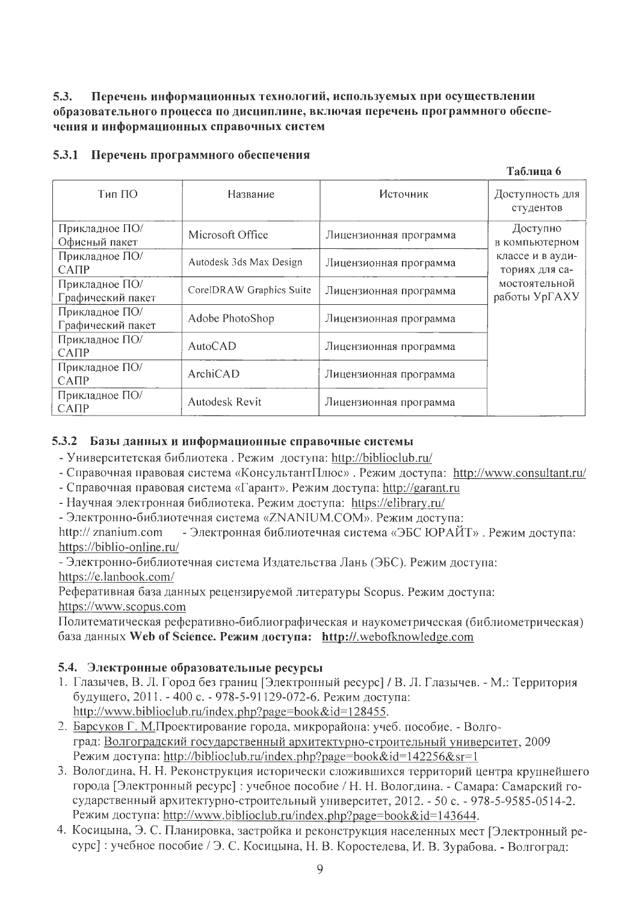#### $5.3.$ Перечень информационных технологий, используемых при осуществлении образовательного процесса по дисциплине, включая перечень программного обеспечения и информационных справочных систем

| Тип ПО                              | Название                 | Источник               | Доступность для<br>студентов       |
|-------------------------------------|--------------------------|------------------------|------------------------------------|
| Прикладное ПО/<br>Офисный пакет     | Microsoft Office         | Лицензионная программа | Доступно<br>в компьютерном         |
| Прикладное ПО/<br>CATIP             | Autodesk 3ds Max Design  | Лицензионная программа | классе и в ауди-<br>ториях для са- |
| Прикладное ПО/<br>Графический пакет | CorelDRAW Graphics Suite | Лицензионная программа | мостоятельной<br>работы УрГАХУ     |
| Прикладное ПО/<br>Графический пакет | Adobe PhotoShop          | Лицензионная программа |                                    |
| Прикладное ПО/<br>CATIP             | <b>AutoCAD</b>           | Лицензионная программа |                                    |
| Прикладное ПО/<br>CATIP             | ArchiCAD                 | Лицензионная программа |                                    |
| Прикладное ПО/<br>САПР              | Autodesk Revit           | Лицензионная программа |                                    |

Таблина 6

### 5.3.1 Перечень программного обеспечения

#### 5.3.2 Базы данных и информационные справочные системы

- Университетская библиотека. Режим доступа: http://biblioclub.ru/
- Справочная правовая система «КонсультантПлюс». Режим доступа: http://www.consultant.ru/
- Справочная правовая система «Гарант». Режим доступа: http://garant.ru
- Научная электронная библиотека. Режим доступа: https://elibrary.ru/
- Электронно-библиотечная система «ZNANIUM.COM». Режим доступа:

http:// znanium.com - Электронная библиотечная система «ЭБС ЮРАЙТ». Режим доступа: https://biblio-online.ru/

- Электронно-библиотечная система Издательства Лань (ЭБС). Режим доступа: https://e.lanbook.com/

Реферативная база данных рецензируемой литературы Scopus. Режим доступа: https://www.scopus.com

Политематическая реферативно-библиографическая и наукометрическая (библиометрическая) база данных Web of Science. Режим доступа: http://.webofknowledge.com

### 5.4. Электронные образовательные ресурсы

- 1. Глазычев, В. Л. Город без границ [Электронный ресурс] / В. Л. Глазычев. М.: Территория будущего, 2011. - 400 с. - 978-5-91129-072-6. Режим доступа: http://www.biblioclub.ru/index.php?page=book&id=128455.
- 2. Барсуков Г. М.Проектирование города, микрорайона: учеб. пособие. Волгоград: Волгоградский государственный архитектурно-строительный университет, 2009 Режим доступа: http://biblioclub.ru/index.php?page=book&id=142256&sr=1
- 3. Вологдина, Н. Н. Реконструкция исторически сложившихся территорий центра крупнейшего города [Электронный ресурс] : учебное пособие / Н. Н. Вологдина. - Самара: Самарский государственный архитектурно-строительный университет, 2012. - 50 с. - 978-5-9585-0514-2. Режим доступа: http://www.biblioclub.ru/index.php?page=book&id=143644.
- 4. Косицына, Э. С. Планировка, застройка и реконструкция населенных мест [Электронный ресурс] : учебное пособие / Э. С. Косицына, Н. В. Коростелева, И. В. Зурабова. - Волгоград: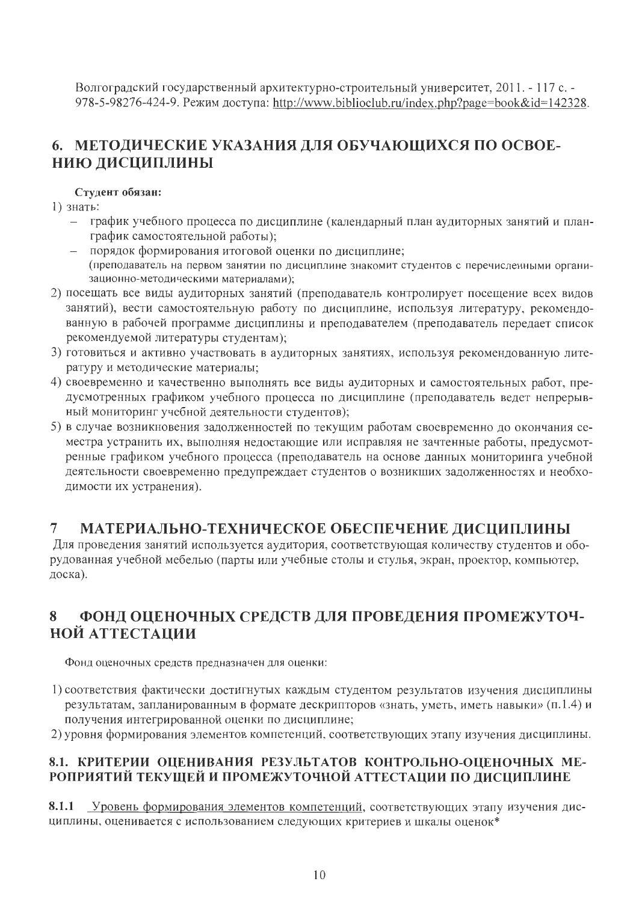Волгоградский государственный архитектурно-строительный университет, 2011. - 117 с. -978-5-98276-424-9. Режим доступа: http://www.biblioclub.ru/index.php?page=book&id=142328.

# 6. МЕТОДИЧЕСКИЕ УКАЗАНИЯ ДЛЯ ОБУЧАЮЩИХСЯ ПО ОСВОЕ-НИЮ ДИСЦИПЛИНЫ

### Студент обязан:

- $1)$  знать:
	- график учебного процесса по дисциплине (календарный план аудиторных занятий и планграфик самостоятельной работы);
	- порядок формирования итоговой оценки по дисциплине; (преподаватель на первом занятии по дисциплине знакомит студентов с перечисленными организационно-методическими материалами);
- 2) посещать все виды аудиторных занятий (преподаватель контролирует посещение всех видов занятий), вести самостоятельную работу по дисциплине, используя литературу, рекомендованную в рабочей программе дисциплины и преподавателем (преподаватель передает список рекомендуемой литературы студентам);
- 3) готовиться и активно участвовать в аудиторных занятиях, используя рекомендованную литературу и методические материалы;
- 4) своевременно и качественно выполнять все виды аудиторных и самостоятельных работ, предусмотренных графиком учебного процесса по дисциплине (преподаватель ведет непрерывный мониторинг учебной деятельности студентов);
- 5) в случае возникновения задолженностей по текущим работам своевременно до окончания семестра устранить их, выполняя недостающие или исправляя не зачтенные работы, предусмотренные графиком учебного процесса (преподаватель на основе данных мониторинга учебной деятельности своевременно предупреждает студентов о возникших задолженностях и необходимости их устранения).

#### $\overline{7}$ МАТЕРИАЛЬНО-ТЕХНИЧЕСКОЕ ОБЕСПЕЧЕНИЕ ДИСЦИПЛИНЫ

Для проведения занятий используется аудитория, соответствующая количеству студентов и оборудованная учебной мебелью (парты или учебные столы и стулья, экран, проектор, компьютер, доска).

#### ФОНД ОЦЕНОЧНЫХ СРЕДСТВ ДЛЯ ПРОВЕДЕНИЯ ПРОМЕЖУТОЧ-8 НОЙ АТТЕСТАЦИИ

Фонд оценочных средств предназначен для оценки:

- 1) соответствия фактически достигнутых каждым студентом результатов изучения дисциплины результатам, запланированным в формате дескрипторов «знать, уметь, иметь навыки» (п.1.4) и получения интегрированной оценки по дисциплине;
- 2) уровня формирования элементов компетенций, соответствующих этапу изучения дисциплины.

## 8.1. КРИТЕРИИ ОЦЕНИВАНИЯ РЕЗУЛЬТАТОВ КОНТРОЛЬНО-ОЦЕНОЧНЫХ МЕ-РОПРИЯТИЙ ТЕКУЩЕЙ И ПРОМЕЖУТОЧНОЙ АТТЕСТАЦИИ ПО ДИСЦИПЛИНЕ

8.1.1 Уровень формирования элементов компетенций, соответствующих этапу изучения дисциплины, оценивается с использованием следующих критериев и шкалы оценок\*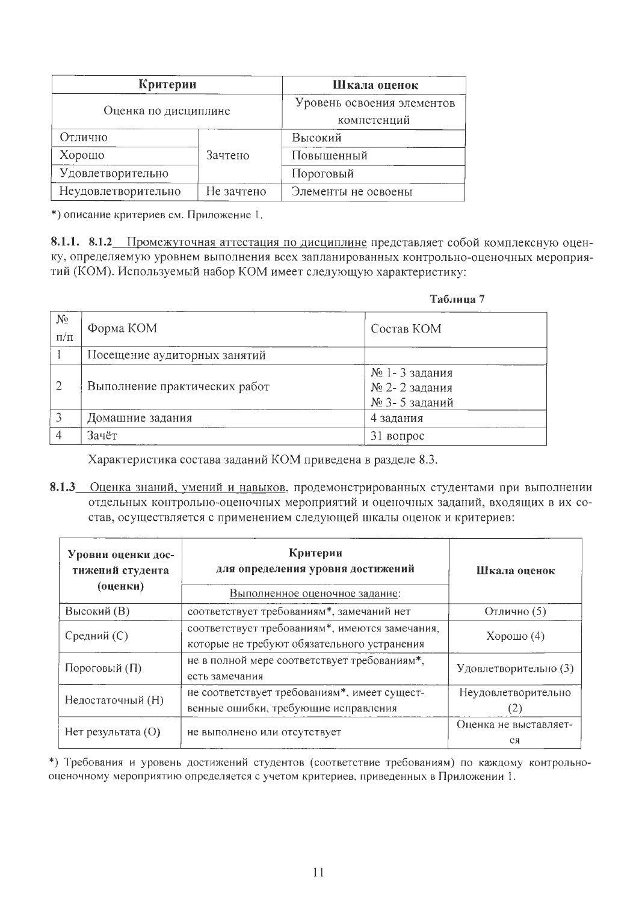| Критерии             | Шкала оценок                              |                     |
|----------------------|-------------------------------------------|---------------------|
| Оценка по дисциплине | Уровень освоения элементов<br>компетенций |                     |
| Отлично              |                                           | Высокий             |
| Хорошо               | Зачтено                                   | Повышенный          |
| Удовлетворительно    |                                           | Пороговый           |
| Неудовлетворительно  | Не зачтено                                | Элементы не освоены |

\*) описание критериев см. Приложение 1.

8.1.1. 8.1.2 Промежуточная аттестация по дисциплине представляет собой комплексную оценку, определяемую уровнем выполнения всех запланированных контрольно-оценочных мероприятий (КОМ). Используемый набор КОМ имеет следующую характеристику:

|                      |                               | Таблица 7                                       |
|----------------------|-------------------------------|-------------------------------------------------|
| $N_{2}$<br>$\Pi/\Pi$ | Форма КОМ                     | Состав КОМ                                      |
|                      | Посещение аудиторных занятий  |                                                 |
| $\overline{2}$       | Выполнение практических работ | № 1-3 задания<br>№ 2-2 задания<br>№ 3-5 заданий |
| 3                    | Домашние задания              | 4 задания                                       |
|                      | Зачёт                         | 31 вопрос                                       |

Характеристика состава заданий КОМ приведена в разделе 8.3.

8.1.3 Оценка знаний, умений и навыков, продемонстрированных студентами при выполнении отдельных контрольно-оценочных мероприятий и оценочных заданий, входящих в их состав, осуществляется с применением следующей шкалы оценок и критериев:

| Уровни оценки дос-<br>тижений студента<br>(оценки) | Критерии<br>для определения уровня достижений<br>Выполненное оценочное задание:               | Шкала оценок                |  |
|----------------------------------------------------|-----------------------------------------------------------------------------------------------|-----------------------------|--|
| Высокий (В)                                        | соответствует требованиям*, замечаний нет                                                     | Отлично (5)                 |  |
| Средний (С)                                        | соответствует требованиям*, имеются замечания,<br>которые не требуют обязательного устранения |                             |  |
| Пороговый (П)                                      | не в полной мере соответствует требованиям*,<br>есть замечания                                |                             |  |
| Недостаточный (Н)                                  | не соответствует требованиям*, имеет сущест-<br>венные ошибки, требующие исправления          |                             |  |
| Нет результата (О)<br>не выполнено или отсутствует |                                                                                               | Оценка не выставляет-<br>CЯ |  |

\*) Требования и уровень достижений студентов (соответствие требованиям) по каждому контрольнооценочному мероприятию определяется с учетом критериев, приведенных в Приложении 1.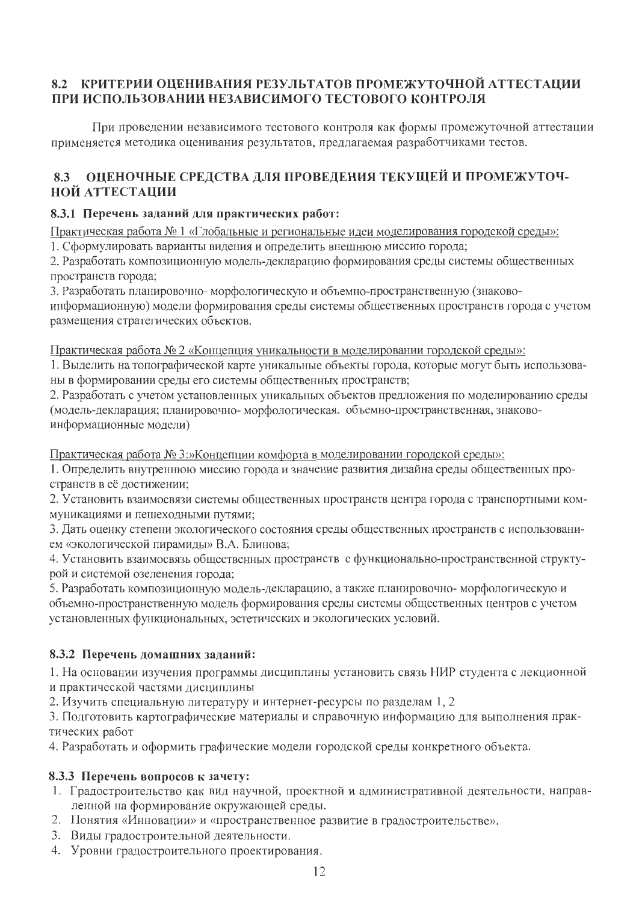### 8.2 КРИТЕРИИ ОЦЕНИВАНИЯ РЕЗУЛЬТАТОВ ПРОМЕЖУТОЧНОЙ АТТЕСТАЦИИ ПРИ ИСПОЛЬЗОВАНИИ НЕЗАВИСИМОГО ТЕСТОВОГО КОНТРОЛЯ

При проведении независимого тестового контроля как формы промежуточной аттестации применяется методика оценивания результатов, предлагаемая разработчиками тестов.

#### ОЦЕНОЧНЫЕ СРЕДСТВА ДЛЯ ПРОВЕДЕНИЯ ТЕКУЩЕЙ И ПРОМЕЖУТОЧ-8.3 НОЙ АТТЕСТАЦИИ

### 8.3.1 Перечень заданий для практических работ:

Практическая работа № 1 «Глобальные и региональные идеи моделирования городской среды»:

1. Сформулировать варианты видения и определить внешнюю миссию города;

2. Разработать композиционную модель-декларацию формирования среды системы общественных пространств города;

3. Разработать планировочно-морфологическую и объемно-пространственную (знаковоинформационную) модели формирования среды системы общественных пространств города с учетом размещения стратегических объектов.

Практическая работа № 2 «Концепция уникальности в моделировании городской среды»:

1. Выделить на топографической карте уникальные объекты города, которые могут быть использованы в формировании среды его системы общественных пространств;

2. Разработать с учетом установленных уникальных объектов предложения по моделированию среды (модель-декларация; планировочно-морфологическая, объемно-пространственная, знаковоинформационные модели)

Практическая работа № 3:»Концепции комфорта в моделировании городской среды»:

1. Определить внутреннюю миссию города и значение развития дизайна среды общественных пространств в её достижении:

2. Установить взаимосвязи системы общественных пространств центра города с транспортными коммуникациями и пешеходными путями;

3. Дать оценку степени экологического состояния среды общественных пространств с использованием «экологической пирамиды» В.А. Блинова;

4. Установить взаимосвязь общественных пространств с функционально-пространственной структурой и системой озеленения города;

5. Разработать композиционную модель-декларацию, а также планировочно- морфологическую и объемно-пространственную модель формирования среды системы общественных центров с учетом установленных функциональных, эстетических и экологических условий.

## 8.3.2 Перечень домашних заданий:

1. На основании изучения программы дисциплины установить связь НИР студента с лекционной и практической частями дисциплины

2. Изучить специальную литературу и интернет-ресурсы по разделам 1, 2

3. Подготовить картографические материалы и справочную информацию для выполнения практических работ

4. Разработать и оформить графические модели городской среды конкретного объекта.

## 8.3.3 Перечень вопросов к зачету:

- 1. Градостроительство как вид научной, проектной и административной деятельности, направленной на формирование окружающей среды.
- 2. Понятия «Инновации» и «пространственное развитие в градостроительстве».
- 3. Виды градостроительной деятельности.
- 4. Уровни градостроительного проектирования.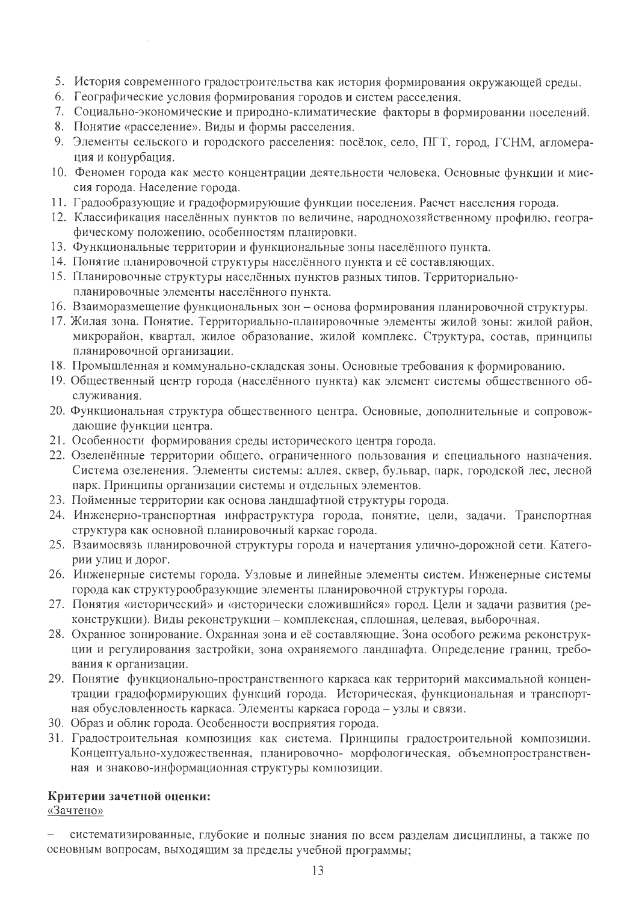- 5. История современного градостроительства как история формирования окружающей среды.
- 6. Географические условия формирования городов и систем расселения.
- 7. Социально-экономические и природно-климатические факторы в формировании поселений.
- 8. Понятие «расселение». Виды и формы расселения.

 $\sim$ 

- 9. Элементы сельского и городского расселения: посёлок, село, ПГТ, город, ГСНМ, агломерация и конурбация.
- 10. Феномен города как место концентрации деятельности человека. Основные функции и миссия города. Население города.
- 11. Градообразующие и градоформирующие функции поселения. Расчет населения города.
- 12. Классификация населённых пунктов по величине, народнохозяйственному профилю, географическому положению, особенностям планировки.
- 13. Функциональные территории и функциональные зоны населённого пункта.
- 14. Понятие планировочной структуры населённого пункта и её составляющих.
- 15. Планировочные структуры населённых пунктов разных типов. Территориальнопланировочные элементы населённого пункта.
- 16. Взаиморазмещение функциональных зон основа формирования планировочной структуры.
- 17. Жилая зона. Понятие. Территориально-планировочные элементы жилой зоны: жилой район, микрорайон, квартал, жилое образование, жилой комплекс. Структура, состав, принципы планировочной организации.
- 18. Промышленная и коммунально-складская зоны. Основные требования к формированию.
- 19. Общественный центр города (населённого пункта) как элемент системы общественного обслуживания.
- 20. Функциональная структура общественного центра. Основные, дополнительные и сопровождающие функции центра.
- 21. Особенности формирования среды исторического центра города.
- 22. Озеленённые территории общего, ограниченного пользования и специального назначения. Система озеленения. Элементы системы: аллея, сквер, бульвар, парк, городской лес, лесной парк. Принципы организации системы и отдельных элементов.
- 23. Пойменные территории как основа ландшафтной структуры города.
- 24. Инженерно-транспортная инфраструктура города, понятие, цели, задачи. Транспортная структура как основной планировочный каркас города.
- 25. Взаимосвязь планировочной структуры города и начертания улично-дорожной сети. Категории улиц и дорог.
- 26. Инженерные системы города. Узловые и линейные элементы систем. Инженерные системы города как структурообразующие элементы планировочной структуры города.
- 27. Понятия «исторический» и «исторически сложившийся» город. Цели и задачи развития (реконструкции). Виды реконструкции – комплексная, сплошная, целевая, выборочная.
- 28. Охранное зонирование. Охранная зона и её составляющие. Зона особого режима реконструкции и регулирования застройки, зона охраняемого ландшафта. Определение границ, требования к организации.
- 29. Понятие функционально-пространственного каркаса как территорий максимальной концентрации градоформирующих функций города. Историческая, функциональная и транспортная обусловленность каркаса. Элементы каркаса города - узлы и связи.
- 30. Образ и облик города. Особенности восприятия города.
- 31. Градостроительная композиция как система. Принципы градостроительной композиции. Концептуально-художественная, планировочно- морфологическая, объемнопространственная и знаково-информационная структуры композиции.

### Критерии зачетной оценки:

«Зачтено»

систематизированные, глубокие и полные знания по всем разделам дисциплины, а также по основным вопросам, выходящим за пределы учебной программы;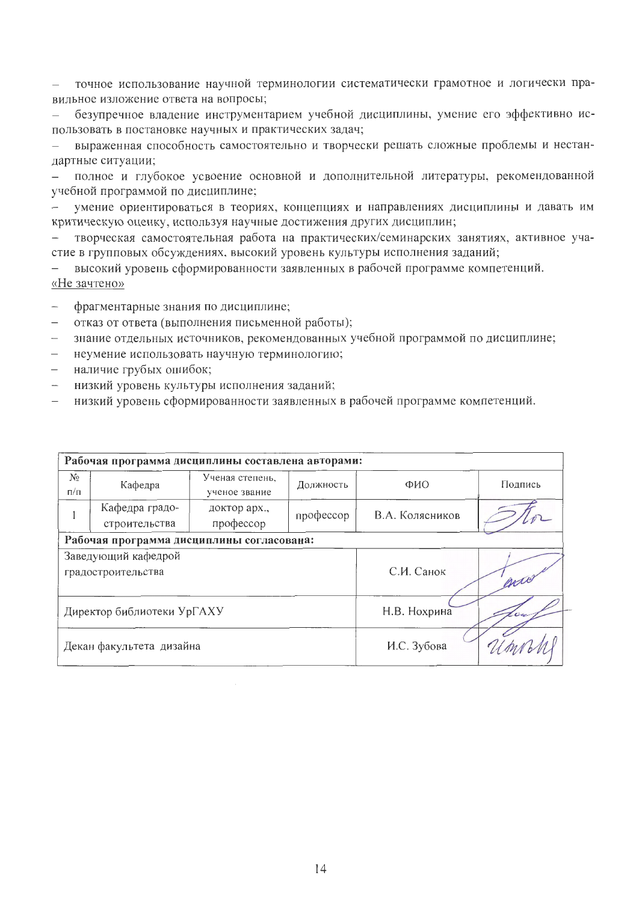точное использование научной терминологии систематически грамотное и логически правильное изложение ответа на вопросы;

безупречное владение инструментарием учебной дисциплины, умение его эффективно использовать в постановке научных и практических задач;

выраженная способность самостоятельно и творчески решать сложные проблемы и нестандартные ситуации;

полное и глубокое усвоение основной и дополнительной литературы, рекомендованной  $\overline{\phantom{0}}$ учебной программой по дисциплине;

умение ориентироваться в теориях, концепциях и направлениях дисциплины и давать им критическую оценку, используя научные достижения других дисциплин;

творческая самостоятельная работа на практических/семинарских занятиях, активное участие в групповых обсуждениях, высокий уровень культуры исполнения заданий;

высокий уровень сформированности заявленных в рабочей программе компетенций.  $\overline{\phantom{0}}$ «Не зачтено»

- фрагментарные знания по дисциплине;
- отказ от ответа (выполнения письменной работы);
- знание отдельных источников, рекомендованных учебной программой по дисциплине;
- неумение использовать научную терминологию;  $\equiv$
- наличие грубых ошибок;  $\overline{\phantom{0}}$
- низкий уровень культуры исполнения заданий;
- низкий уровень сформированности заявленных в рабочей программе компетенций.

| Рабочая программа дисциплины составлена авторами: |                                 |                                  |              |                 |         |  |  |  |
|---------------------------------------------------|---------------------------------|----------------------------------|--------------|-----------------|---------|--|--|--|
| $N_2$<br>$\Pi/\Pi$                                | Кафедра                         | Ученая степень,<br>ученое звание | Должность    | ФИО             | Подпись |  |  |  |
|                                                   | Кафедра градо-<br>строительства | доктор арх.,<br>профессор        | профессор    | В.А. Колясников |         |  |  |  |
| Рабочая программа дисциплины согласована:         |                                 |                                  |              |                 |         |  |  |  |
| Заведующий кафедрой<br>градостроительства         |                                 | С.И. Санок<br>arro               |              |                 |         |  |  |  |
| Директор библиотеки УрГАХУ                        |                                 |                                  | Н.В. Нохрина |                 |         |  |  |  |
| Декан факультета дизайна                          |                                 |                                  | И.С. Зубова  |                 |         |  |  |  |